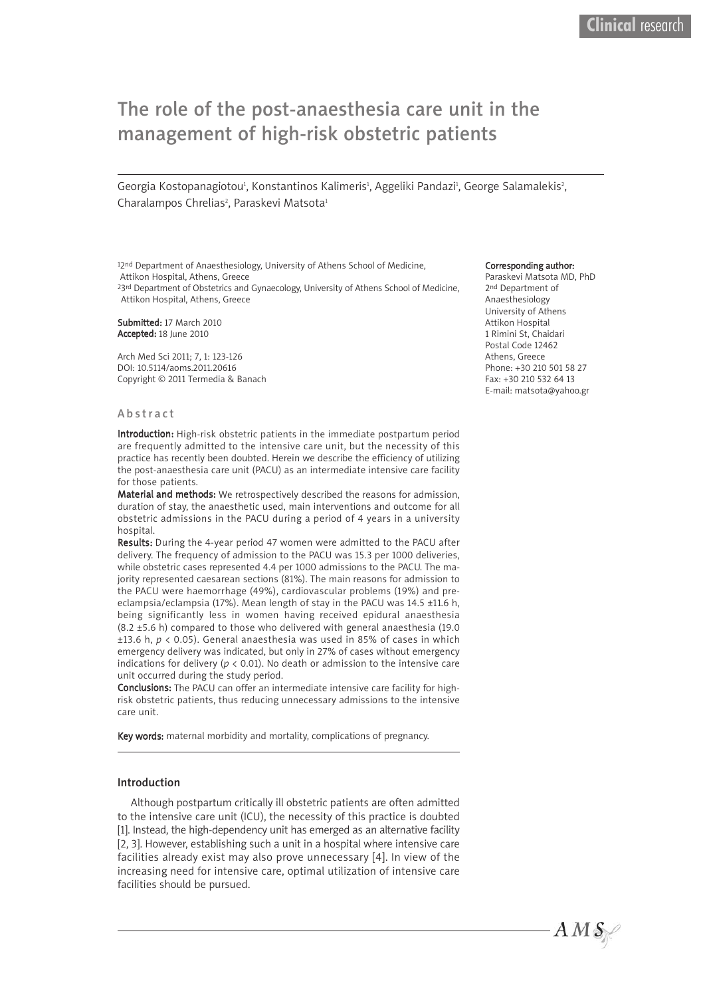# The role of the post-anaesthesia care unit in the management of high-risk obstetric patients

Georgia Kostopanagiotou<sup>1</sup>, Konstantinos Kalimeris<sup>1</sup>, Aggeliki Pandazi<sup>1</sup>, George Salamalekis<sup>2</sup>, Charalampos Chrelias<sup>2</sup>, Paraskevi Matsota<sup>1</sup>

12nd Department of Anaesthesiology, University of Athens School of Medicine, Attikon Hospital, Athens, Greece <sup>23rd</sup> Department of Obstetrics and Gynaecology, University of Athens School of Medicine,

Attikon Hospital, Athens, Greece

Submitted: 17 March 2010 Accepted: 18 June 2010

Arch Med Sci 2011; 7, 1: 123-126 DOI: 10.5114/aoms.2011.20616 Copyright © 2011 Termedia & Banach

#### **Abstract**

Introduction: High-risk obstetric patients in the immediate postpartum period are frequently admitted to the intensive care unit, but the necessity of this practice has recently been doubted. Herein we describe the efficiency of utilizing the post-anaesthesia care unit (PACU) as an intermediate intensive care facility for those patients.

Material and methods: We retrospectively described the reasons for admission, duration of stay, the anaesthetic used, main interventions and outcome for all obstetric admissions in the PACU during a period of 4 years in a university hospital.

Results: During the 4-year period 47 women were admitted to the PACU after delivery. The frequency of admission to the PACU was 15.3 per 1000 deliveries, while obstetric cases represented 4.4 per 1000 admissions to the PACU. The majority represented caesarean sections (81%). The main reasons for admission to the PACU were haemorrhage (49%), cardiovascular problems (19%) and preeclampsia/eclampsia (17%). Mean length of stay in the PACU was 14.5 ±11.6 h, being significantly less in women having received epidural anaesthesia (8.2 ±5.6 h) compared to those who delivered with general anaesthesia (19.0 ±13.6 h, *p* < 0.05). General anaesthesia was used in 85% of cases in which emergency delivery was indicated, but only in 27% of cases without emergency indications for delivery ( $p < 0.01$ ). No death or admission to the intensive care unit occurred during the study period.

Conclusions: The PACU can offer an intermediate intensive care facility for highrisk obstetric patients, thus reducing unnecessary admissions to the intensive care unit.

Key words: maternal morbidity and mortality, complications of pregnancy.

#### Introduction

Although postpartum critically ill obstetric patients are often admitted to the intensive care unit (ICU), the necessity of this practice is doubted [1]. Instead, the high-dependency unit has emerged as an alternative facility [2, 3]. However, establishing such a unit in a hospital where intensive care facilities already exist may also prove unnecessary [4]. In view of the increasing need for intensive care, optimal utilization of intensive care facilities should be pursued.

#### Corresponding author:

Paraskevi Matsota MD, PhD 2<sup>nd</sup> Department of Anaesthesiology University of Athens Attikon Hospital 1 Rimini St, Chaidari Postal Code 12462 Athens, Greece Phone: +30 210 501 58 27 Fax: +30 210 532 64 13 E-mail: matsota@yahoo.gr

 $A\,M\,\mathcal{S}\!\!\!\!\!\!\!/$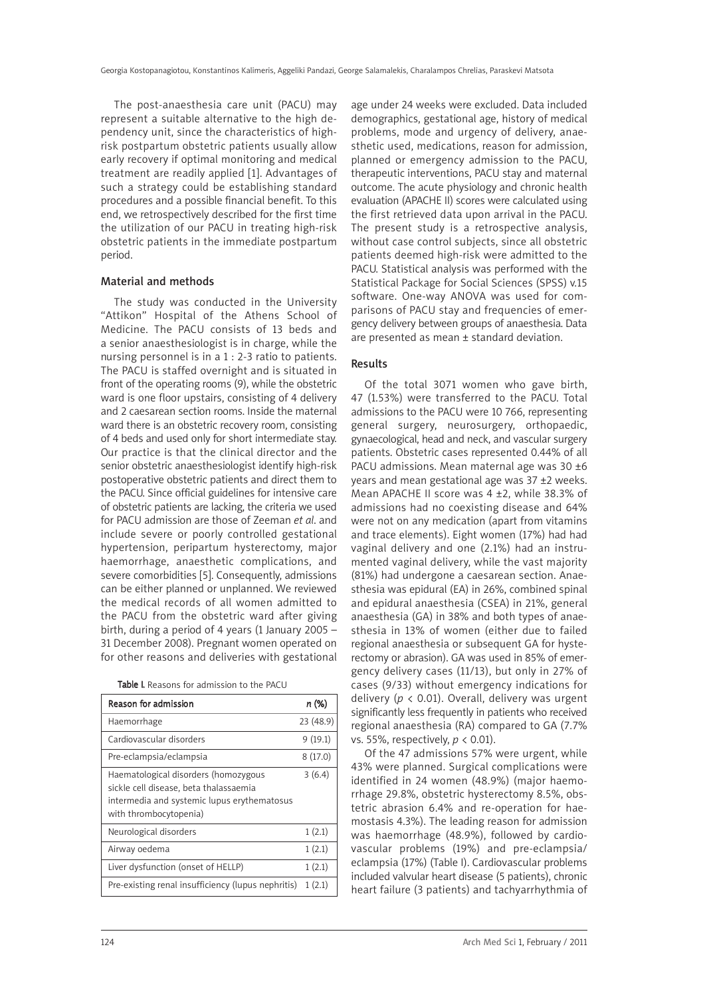The post-anaesthesia care unit (PACU) may represent a suitable alternative to the high dependency unit, since the characteristics of highrisk postpartum obstetric patients usually allow early recovery if optimal monitoring and medical treatment are readily applied [1]. Advantages of such a strategy could be establishing standard procedures and a possible financial benefit. To this end, we retrospectively described for the first time the utilization of our PACU in treating high-risk obstetric patients in the immediate postpartum period.

## Material and methods

The study was conducted in the University "Attikon" Hospital of the Athens School of Medicine. The PACU consists of 13 beds and a senior anaesthesiologist is in charge, while the nursing personnel is in a 1 : 2-3 ratio to patients. The PACU is staffed overnight and is situated in front of the operating rooms (9), while the obstetric ward is one floor upstairs, consisting of 4 delivery and 2 caesarean section rooms. Inside the maternal ward there is an obstetric recovery room, consisting of 4 beds and used only for short intermediate stay. Our practice is that the clinical director and the senior obstetric anaesthesiologist identify high-risk postoperative obstetric patients and direct them to the PACU. Since official guidelines for intensive care of obstetric patients are lacking, the criteria we used for PACU admission are those of Zeeman *et al*. and include severe or poorly controlled gestational hypertension, peripartum hysterectomy, major haemorrhage, anaesthetic complications, and severe comorbidities [5]. Consequently, admissions can be either planned or unplanned. We reviewed the medical records of all women admitted to the PACU from the obstetric ward after giving birth, during a period of 4 years (1 January 2005 – 31 December 2008). Pregnant women operated on for other reasons and deliveries with gestational

|  |  |  | Table I. Reasons for admission to the PACU |
|--|--|--|--------------------------------------------|
|--|--|--|--------------------------------------------|

| Reason for admission                                                                                                                                    | n (%)     |
|---------------------------------------------------------------------------------------------------------------------------------------------------------|-----------|
| Haemorrhage                                                                                                                                             | 23 (48.9) |
| Cardiovascular disorders                                                                                                                                | 9(19.1)   |
| Pre-eclampsia/eclampsia                                                                                                                                 | 8(17.0)   |
| Haematological disorders (homozygous<br>sickle cell disease, beta thalassaemia<br>intermedia and systemic lupus erythematosus<br>with thrombocytopenia) | 3(6.4)    |
| Neurological disorders                                                                                                                                  | 1(2.1)    |
| Airway oedema                                                                                                                                           | 1(2.1)    |
| Liver dysfunction (onset of HELLP)                                                                                                                      | 1(2.1)    |
| Pre-existing renal insufficiency (lupus nephritis)                                                                                                      | 1(2.1)    |

age under 24 weeks were excluded. Data included demographics, gestational age, history of medical problems, mode and urgency of delivery, anaesthetic used, medications, reason for admission, planned or emergency admission to the PACU, therapeutic interventions, PACU stay and maternal outcome. The acute physiology and chronic health evaluation (APACHE II) scores were calculated using the first retrieved data upon arrival in the PACU. The present study is a retrospective analysis, without case control subjects, since all obstetric patients deemed high-risk were admitted to the PACU. Statistical analysis was performed with the Statistical Package for Social Sciences (SPSS) v.15 software. One-way ANOVA was used for comparisons of PACU stay and frequencies of emergency delivery between groups of anaesthesia. Data are presented as mean ± standard deviation.

## Results

Of the total 3071 women who gave birth, 47 (1.53%) were transferred to the PACU. Total admissions to the PACU were 10 766, representing general surgery, neurosurgery, orthopaedic, gynaecological, head and neck, and vascular surgery patients. Obstetric cases represented 0.44% of all PACU admissions. Mean maternal age was 30 ±6 years and mean gestational age was 37 ±2 weeks. Mean APACHE II score was 4 ±2, while 38.3% of admissions had no coexisting disease and 64% were not on any medication (apart from vitamins and trace elements). Eight women (17%) had had vaginal delivery and one (2.1%) had an instrumented vaginal delivery, while the vast majority (81%) had undergone a caesarean section. Anaesthesia was epidural (EA) in 26%, combined spinal and epidural anaesthesia (CSEA) in 21%, general anaesthesia (GA) in 38% and both types of anaesthesia in 13% of women (either due to failed regional anaesthesia or subsequent GA for hysterectomy or abrasion). GA was used in 85% of emergency delivery cases (11/13), but only in 27% of cases (9/33) without emergency indications for delivery (*p* < 0.01). Overall, delivery was urgent significantly less frequently in patients who received regional anaesthesia (RA) compared to GA (7.7% vs. 55%, respectively, *p* < 0.01).

Of the 47 admissions 57% were urgent, while 43% were planned. Surgical complications were identified in 24 women (48.9%) (major haemorrhage 29.8%, obstetric hysterectomy 8.5%, obstetric abrasion 6.4% and re-operation for haemostasis 4.3%). The leading reason for admission was haemorrhage (48.9%), followed by cardiovascular problems (19%) and pre-eclampsia/ eclampsia (17%) (Table I). Cardiovascular problems included valvular heart disease (5 patients), chronic heart failure (3 patients) and tachyarrhythmia of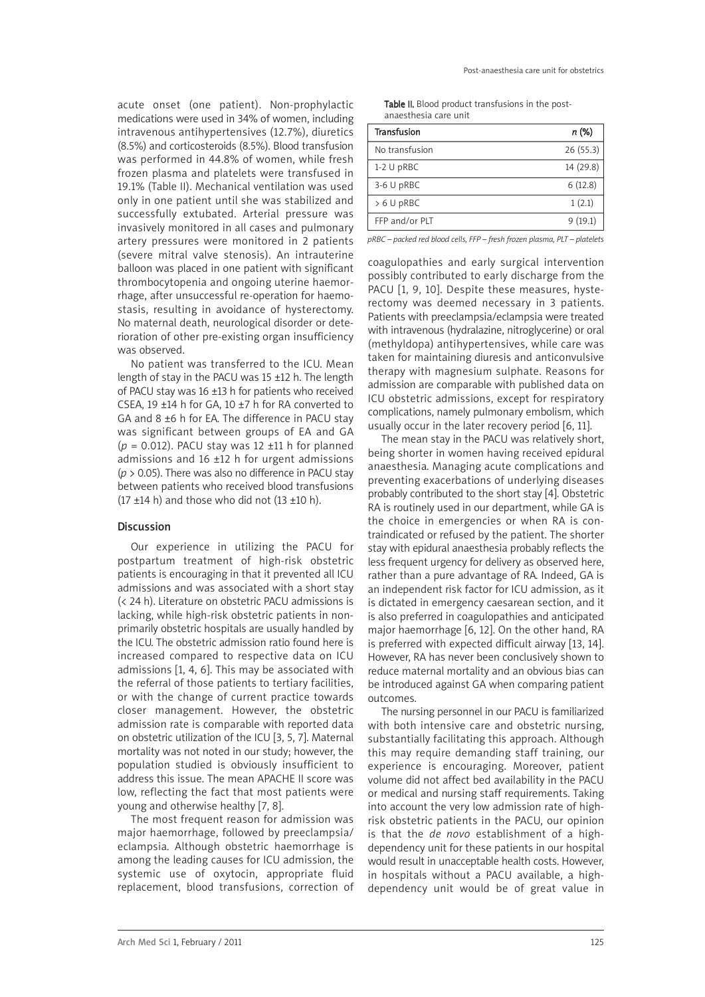acute onset (one patient). Non-prophylactic medications were used in 34% of women, including intravenous antihypertensives (12.7%), diuretics (8.5%) and corticosteroids (8.5%). Blood transfusion was performed in 44.8% of women, while fresh frozen plasma and platelets were transfused in 19.1% (Table II). Mechanical ventilation was used only in one patient until she was stabilized and successfully extubated. Arterial pressure was invasively monitored in all cases and pulmonary artery pressures were monitored in 2 patients (severe mitral valve stenosis). An intrauterine balloon was placed in one patient with significant thrombocytopenia and ongoing uterine haemorrhage, after unsuccessful re-operation for haemostasis, resulting in avoidance of hysterectomy. No maternal death, neurological disorder or deterioration of other pre-existing organ insufficiency was observed.

No patient was transferred to the ICU. Mean length of stay in the PACU was 15 ±12 h. The length of PACU stay was 16 ±13 h for patients who received CSEA, 19 ±14 h for GA, 10 ±7 h for RA converted to GA and 8 ±6 h for EA. The difference in PACU stay was significant between groups of EA and GA  $(p = 0.012)$ . PACU stay was 12  $\pm$ 11 h for planned admissions and 16 ±12 h for urgent admissions (*p* > 0.05). There was also no difference in PACU stay between patients who received blood transfusions  $(17 \pm 14 \text{ h})$  and those who did not  $(13 \pm 10 \text{ h})$ .

## Discussion

Our experience in utilizing the PACU for postpartum treatment of high-risk obstetric patients is encouraging in that it prevented all ICU admissions and was associated with a short stay (< 24 h). Literature on obstetric PACU admissions is lacking, while high-risk obstetric patients in nonprimarily obstetric hospitals are usually handled by the ICU. The obstetric admission ratio found here is increased compared to respective data on ICU admissions [1, 4, 6]. This may be associated with the referral of those patients to tertiary facilities, or with the change of current practice towards closer management. However, the obstetric admission rate is comparable with reported data on obstetric utilization of the ICU [3, 5, 7]. Maternal mortality was not noted in our study; however, the population studied is obviously insufficient to address this issue. The mean APACHE II score was low, reflecting the fact that most patients were young and otherwise healthy [7, 8].

The most frequent reason for admission was major haemorrhage, followed by preeclampsia/ eclampsia. Although obstetric haemorrhage is among the leading causes for ICU admission, the systemic use of oxytocin, appropriate fluid replacement, blood transfusions, correction of

| Table II. Blood product transfusions in the post- |  |
|---------------------------------------------------|--|
| anaesthesia care unit                             |  |

| <b>Transfusion</b> | n (%)     |
|--------------------|-----------|
| No transfusion     | 26(55.3)  |
| $1-2$ U pRBC       | 14 (29.8) |
| 3-6 U pRBC         | 6(12.8)   |
| > 6 U pRBC         | 1(2.1)    |
| FFP and/or PLT     | 9(19.1)   |

*pRBC – packed red blood cells, FFP – fresh frozen plasma, PLT – platelets*

coagulopathies and early surgical intervention possibly contributed to early discharge from the PACU [1, 9, 10]. Despite these measures, hysterectomy was deemed necessary in 3 patients. Patients with preeclampsia/eclampsia were treated with intravenous (hydralazine, nitroglycerine) or oral (methyldopa) antihypertensives, while care was taken for maintaining diuresis and anticonvulsive therapy with magnesium sulphate. Reasons for admission are comparable with published data on ICU obstetric admissions, except for respiratory complications, namely pulmonary embolism, which usually occur in the later recovery period [6, 11].

The mean stay in the PACU was relatively short, being shorter in women having received epidural anaesthesia. Managing acute complications and preventing exacerbations of underlying diseases probably contributed to the short stay [4]. Obstetric RA is routinely used in our department, while GA is the choice in emergencies or when RA is contraindicated or refused by the patient. The shorter stay with epidural anaesthesia probably reflects the less frequent urgency for delivery as observed here, rather than a pure advantage of RA. Indeed, GA is an independent risk factor for ICU admission, as it is dictated in emergency caesarean section, and it is also preferred in coagulopathies and anticipated major haemorrhage [6, 12]. On the other hand, RA is preferred with expected difficult airway [13, 14]. However, RA has never been conclusively shown to reduce maternal mortality and an obvious bias can be introduced against GA when comparing patient outcomes.

The nursing personnel in our PACU is familiarized with both intensive care and obstetric nursing, substantially facilitating this approach. Although this may require demanding staff training, our experience is encouraging. Moreover, patient volume did not affect bed availability in the PACU or medical and nursing staff requirements. Taking into account the very low admission rate of highrisk obstetric patients in the PACU, our opinion is that the *de novo* establishment of a highdependency unit for these patients in our hospital would result in unacceptable health costs. However, in hospitals without a PACU available, a highdependency unit would be of great value in